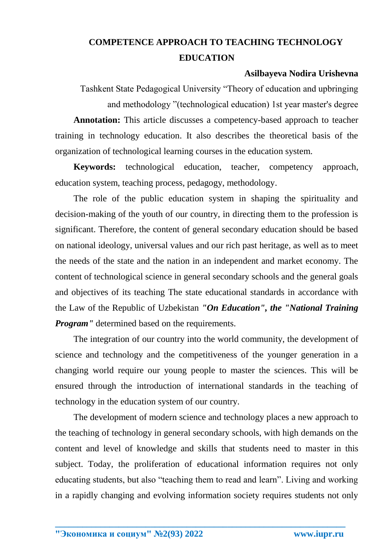## **COMPETENCE APPROACH TO TEACHING TECHNOLOGY EDUCATION**

## **Asilbayeva Nodira Urishevna**

Tashkent State Pedagogical University "Theory of education and upbringing and methodology "(technological education) 1st year master's degree **Annotation:** This article discusses a competency-based approach to teacher training in technology education. It also describes the theoretical basis of the organization of technological learning courses in the education system.

**Keywords:** technological education, teacher, competency approach, education system, teaching process, pedagogy, methodology.

The role of the public education system in shaping the spirituality and decision-making of the youth of our country, in directing them to the profession is significant. Therefore, the content of general secondary education should be based on national ideology, universal values and our rich past heritage, as well as to meet the needs of the state and the nation in an independent and market economy. The content of technological science in general secondary schools and the general goals and objectives of its teaching The state educational standards in accordance with the Law of the Republic of Uzbekistan *"On Education", the "National Training Program''* determined based on the requirements.

The integration of our country into the world community, the development of science and technology and the competitiveness of the younger generation in a changing world require our young people to master the sciences. This will be ensured through the introduction of international standards in the teaching of technology in the education system of our country.

The development of modern science and technology places a new approach to the teaching of technology in general secondary schools, with high demands on the content and level of knowledge and skills that students need to master in this subject. Today, the proliferation of educational information requires not only educating students, but also "teaching them to read and learn". Living and working in a rapidly changing and evolving information society requires students not only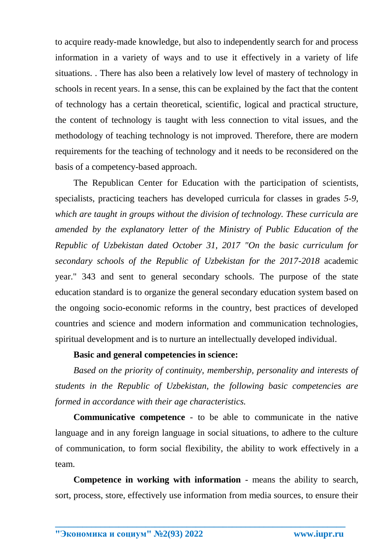to acquire ready-made knowledge, but also to independently search for and process information in a variety of ways and to use it effectively in a variety of life situations. . There has also been a relatively low level of mastery of technology in schools in recent years. In a sense, this can be explained by the fact that the content of technology has a certain theoretical, scientific, logical and practical structure, the content of technology is taught with less connection to vital issues, and the methodology of teaching technology is not improved. Therefore, there are modern requirements for the teaching of technology and it needs to be reconsidered on the basis of a competency-based approach.

The Republican Center for Education with the participation of scientists, specialists, practicing teachers has developed curricula for classes in grades *5-9, which are taught in groups without the division of technology. These curricula are amended by the explanatory letter of the Ministry of Public Education of the Republic of Uzbekistan dated October 31, 2017 "On the basic curriculum for secondary schools of the Republic of Uzbekistan for the 2017-2018* academic year." 343 and sent to general secondary schools. The purpose of the state education standard is to organize the general secondary education system based on the ongoing socio-economic reforms in the country, best practices of developed countries and science and modern information and communication technologies, spiritual development and is to nurture an intellectually developed individual.

## **Basic and general competencies in science:**

*Based on the priority of continuity, membership, personality and interests of students in the Republic of Uzbekistan, the following basic competencies are formed in accordance with their age characteristics.*

**Communicative competence** - to be able to communicate in the native language and in any foreign language in social situations, to adhere to the culture of communication, to form social flexibility, the ability to work effectively in a team.

**Competence in working with information** - means the ability to search, sort, process, store, effectively use information from media sources, to ensure their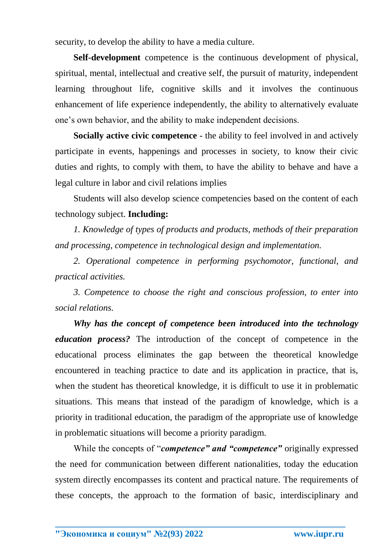security, to develop the ability to have a media culture.

**Self-development** competence is the continuous development of physical, spiritual, mental, intellectual and creative self, the pursuit of maturity, independent learning throughout life, cognitive skills and it involves the continuous enhancement of life experience independently, the ability to alternatively evaluate one's own behavior, and the ability to make independent decisions.

**Socially active civic competence** - the ability to feel involved in and actively participate in events, happenings and processes in society, to know their civic duties and rights, to comply with them, to have the ability to behave and have a legal culture in labor and civil relations implies

Students will also develop science competencies based on the content of each technology subject. **Including:**

*1. Knowledge of types of products and products, methods of their preparation and processing, competence in technological design and implementation.*

*2. Operational competence in performing psychomotor, functional, and practical activities.*

*3. Competence to choose the right and conscious profession, to enter into social relations.* 

*Why has the concept of competence been introduced into the technology education process?* The introduction of the concept of competence in the educational process eliminates the gap between the theoretical knowledge encountered in teaching practice to date and its application in practice, that is, when the student has theoretical knowledge, it is difficult to use it in problematic situations. This means that instead of the paradigm of knowledge, which is a priority in traditional education, the paradigm of the appropriate use of knowledge in problematic situations will become a priority paradigm.

While the concepts of "*competence" and "competence"* originally expressed the need for communication between different nationalities, today the education system directly encompasses its content and practical nature. The requirements of these concepts, the approach to the formation of basic, interdisciplinary and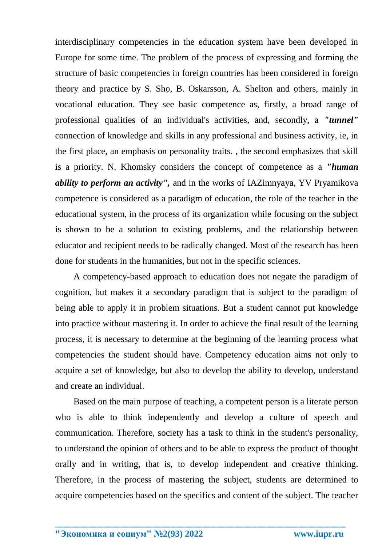interdisciplinary competencies in the education system have been developed in Europe for some time. The problem of the process of expressing and forming the structure of basic competencies in foreign countries has been considered in foreign theory and practice by S. Sho, B. Oskarsson, A. Shelton and others, mainly in vocational education. They see basic competence as, firstly, a broad range of professional qualities of an individual's activities, and, secondly, a *"tunnel"* connection of knowledge and skills in any professional and business activity, ie, in the first place, an emphasis on personality traits. , the second emphasizes that skill is a priority. N. Khomsky considers the concept of competence as a *"human ability to perform an activity",* and in the works of IAZimnyaya, YV Pryamikova competence is considered as a paradigm of education, the role of the teacher in the educational system, in the process of its organization while focusing on the subject is shown to be a solution to existing problems, and the relationship between educator and recipient needs to be radically changed. Most of the research has been done for students in the humanities, but not in the specific sciences.

A competency-based approach to education does not negate the paradigm of cognition, but makes it a secondary paradigm that is subject to the paradigm of being able to apply it in problem situations. But a student cannot put knowledge into practice without mastering it. In order to achieve the final result of the learning process, it is necessary to determine at the beginning of the learning process what competencies the student should have. Competency education aims not only to acquire a set of knowledge, but also to develop the ability to develop, understand and create an individual.

Based on the main purpose of teaching, a competent person is a literate person who is able to think independently and develop a culture of speech and communication. Therefore, society has a task to think in the student's personality, to understand the opinion of others and to be able to express the product of thought orally and in writing, that is, to develop independent and creative thinking. Therefore, in the process of mastering the subject, students are determined to acquire competencies based on the specifics and content of the subject. The teacher